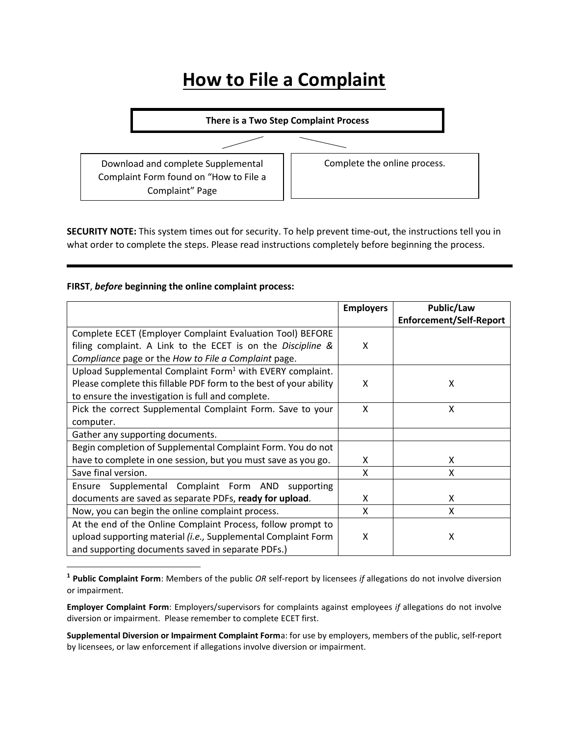## **How to File a Complaint**



**SECURITY NOTE:** This system times out for security. To help prevent time-out, the instructions tell you in what order to complete the steps. Please read instructions completely before beginning the process.

## **FIRST**, *before* **beginning the online complaint process:**

 $\overline{\phantom{a}}$ 

|                                                                       | <b>Employers</b> | Public/Law                     |
|-----------------------------------------------------------------------|------------------|--------------------------------|
|                                                                       |                  | <b>Enforcement/Self-Report</b> |
| Complete ECET (Employer Complaint Evaluation Tool) BEFORE             |                  |                                |
| filing complaint. A Link to the ECET is on the Discipline &           | X                |                                |
| Compliance page or the How to File a Complaint page.                  |                  |                                |
| Upload Supplemental Complaint Form <sup>1</sup> with EVERY complaint. |                  |                                |
| Please complete this fillable PDF form to the best of your ability    | X                | X                              |
| to ensure the investigation is full and complete.                     |                  |                                |
| Pick the correct Supplemental Complaint Form. Save to your            | X                | x                              |
| computer.                                                             |                  |                                |
| Gather any supporting documents.                                      |                  |                                |
| Begin completion of Supplemental Complaint Form. You do not           |                  |                                |
| have to complete in one session, but you must save as you go.         | X                | X                              |
| Save final version.                                                   | X                | X                              |
| Ensure Supplemental Complaint Form AND<br>supporting                  |                  |                                |
| documents are saved as separate PDFs, ready for upload.               | X                | X                              |
| Now, you can begin the online complaint process.                      | X                | X                              |
| At the end of the Online Complaint Process, follow prompt to          |                  |                                |
| upload supporting material (i.e., Supplemental Complaint Form         | X                | X                              |
| and supporting documents saved in separate PDFs.)                     |                  |                                |

**<sup>1</sup> Public Complaint Form**: Members of the public *OR* self-report by licensees *if* allegations do not involve diversion or impairment.

**Employer Complaint Form**: Employers/supervisors for complaints against employees *if* allegations do not involve diversion or impairment. Please remember to complete ECET first.

**Supplemental Diversion or Impairment Complaint Form**a: for use by employers, members of the public, self-report by licensees, or law enforcement if allegations involve diversion or impairment.